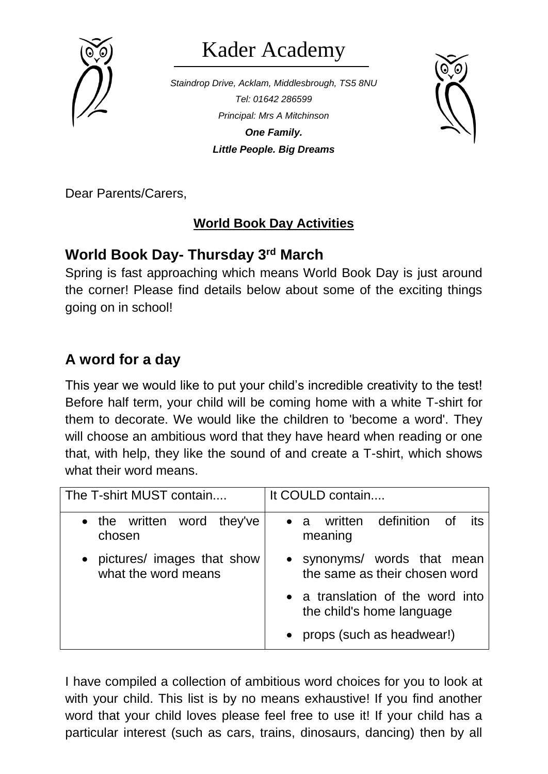

# Kader Academy

*Staindrop Drive, Acklam, Middlesbrough, TS5 8NU Tel: 01642 286599 Principal: Mrs A Mitchinson One Family. Little People. Big Dreams*



Dear Parents/Carers,

#### **World Book Day Activities**

## **World Book Day- Thursday 3rd March**

Spring is fast approaching which means World Book Day is just around the corner! Please find details below about some of the exciting things going on in school!

# **A word for a day**

This year we would like to put your child's incredible creativity to the test! Before half term, your child will be coming home with a white T-shirt for them to decorate. We would like the children to 'become a word'. They will choose an ambitious word that they have heard when reading or one that, with help, they like the sound of and create a T-shirt, which shows what their word means.

| The T-shirt MUST contain                          | It COULD contain                                              |  |  |  |
|---------------------------------------------------|---------------------------------------------------------------|--|--|--|
| • the written word they've<br>chosen              | • a written definition of its<br>meaning                      |  |  |  |
| pictures/ images that show<br>what the word means | • synonyms/ words that mean<br>the same as their chosen word  |  |  |  |
|                                                   | • a translation of the word into<br>the child's home language |  |  |  |
|                                                   | • props (such as headwear!)                                   |  |  |  |

I have compiled a collection of ambitious word choices for you to look at with your child. This list is by no means exhaustive! If you find another word that your child loves please feel free to use it! If your child has a particular interest (such as cars, trains, dinosaurs, dancing) then by all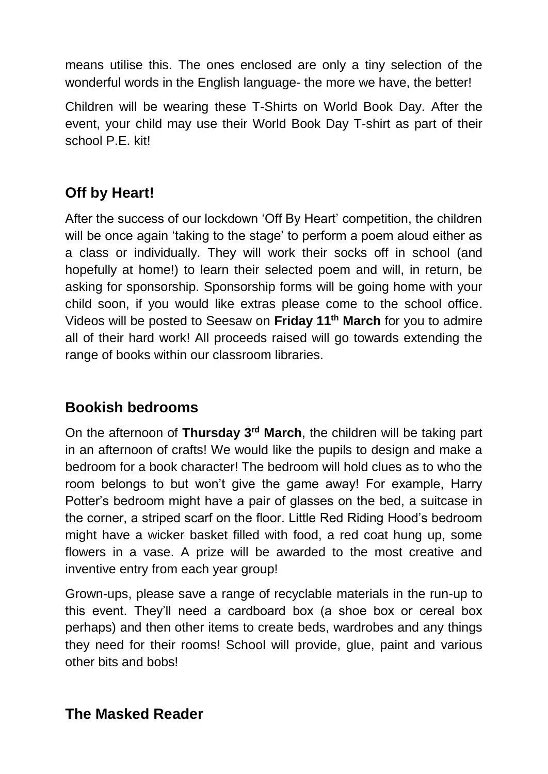means utilise this. The ones enclosed are only a tiny selection of the wonderful words in the English language- the more we have, the better!

Children will be wearing these T-Shirts on World Book Day. After the event, your child may use their World Book Day T-shirt as part of their school P.E. kit!

# **Off by Heart!**

After the success of our lockdown 'Off By Heart' competition, the children will be once again 'taking to the stage' to perform a poem aloud either as a class or individually. They will work their socks off in school (and hopefully at home!) to learn their selected poem and will, in return, be asking for sponsorship. Sponsorship forms will be going home with your child soon, if you would like extras please come to the school office. Videos will be posted to Seesaw on **Friday 11 th March** for you to admire all of their hard work! All proceeds raised will go towards extending the range of books within our classroom libraries.

## **Bookish bedrooms**

On the afternoon of **Thursday 3rd March**, the children will be taking part in an afternoon of crafts! We would like the pupils to design and make a bedroom for a book character! The bedroom will hold clues as to who the room belongs to but won't give the game away! For example, Harry Potter's bedroom might have a pair of glasses on the bed, a suitcase in the corner, a striped scarf on the floor. Little Red Riding Hood's bedroom might have a wicker basket filled with food, a red coat hung up, some flowers in a vase. A prize will be awarded to the most creative and inventive entry from each year group!

Grown-ups, please save a range of recyclable materials in the run-up to this event. They'll need a cardboard box (a shoe box or cereal box perhaps) and then other items to create beds, wardrobes and any things they need for their rooms! School will provide, glue, paint and various other bits and bobs!

#### **The Masked Reader**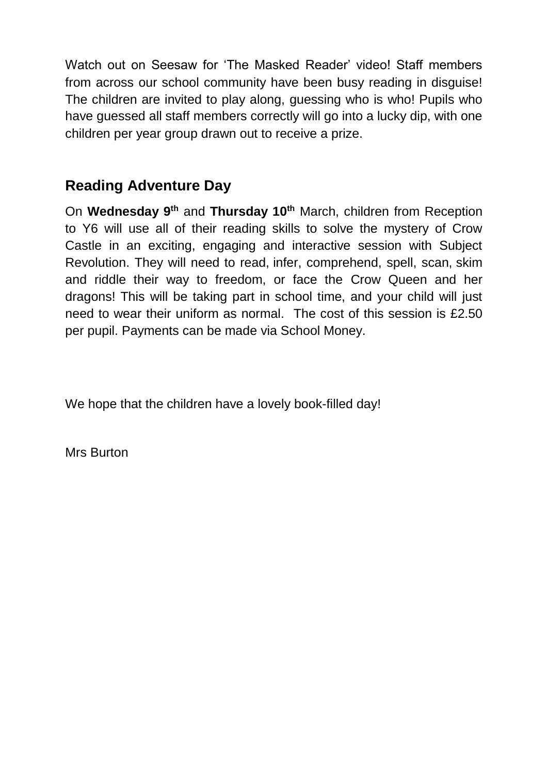Watch out on Seesaw for 'The Masked Reader' video! Staff members from across our school community have been busy reading in disguise! The children are invited to play along, guessing who is who! Pupils who have guessed all staff members correctly will go into a lucky dip, with one children per year group drawn out to receive a prize.

### **Reading Adventure Day**

On **Wednesday 9th** and **Thursday 10th** March, children from Reception to Y6 will use all of their reading skills to solve the mystery of Crow Castle in an exciting, engaging and interactive session with Subject Revolution. They will need to read, infer, comprehend, spell, scan, skim and riddle their way to freedom, or face the Crow Queen and her dragons! This will be taking part in school time, and your child will just need to wear their uniform as normal. The cost of this session is £2.50 per pupil. Payments can be made via School Money.

We hope that the children have a lovely book-filled day!

Mrs Burton